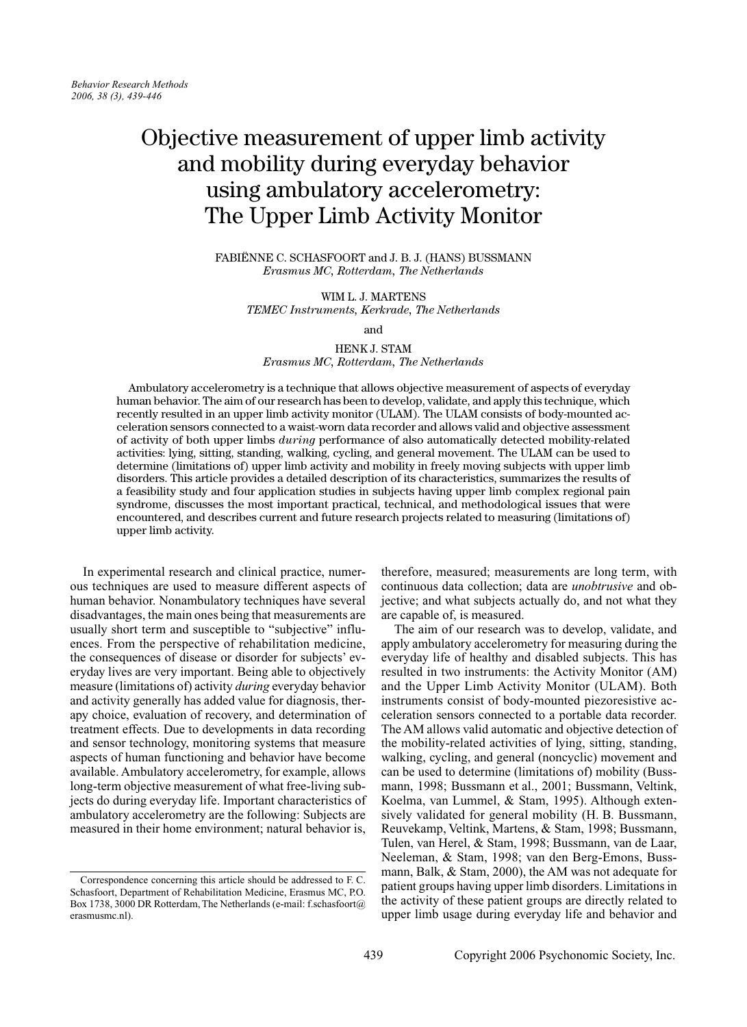# Objective measurement of upper limb activity and mobility during everyday behavior using ambulatory accelerometry: The Upper Limb Activity Monitor

FABIËNNE C. SCHASFOORT and J. B. J. (HANS) BUSSMANN Erasmus MC, Rotterdam, The Netherlands

> WIM L. J. MARTENS **TEMEC** Instruments, Kerkrade, The Netherlands

> > and

### HENK J. STAM Erasmus MC, Rotterdam, The Netherlands

Ambulatory accelerometry is a technique that allows objective measurement of aspects of everyday human behavior. The aim of our research has been to develop, validate, and apply this technique, which recently resulted in an upper limb activity monitor (ULAM). The ULAM consists of body-mounted acceleration sensors connected to a waist-worn data recorder and allows valid and objective assessment of activity of both upper limbs *during* performance of also automatically detected mobility-related activities: lying, sitting, standing, walking, cycling, and general movement. The ULAM can be used to determine (limitations of) upper limb activity and mobility in freely moving subjects with upper limb disorders. This article provides a detailed description of its characteristics, summarizes the results of a feasibility study and four application studies in subjects having upper limb complex regional pain syndrome, discusses the most important practical, technical, and methodological issues that were encountered, and describes current and future research projects related to measuring (limitations of) upper limb activity.

In experimental research and clinical practice, numerous techniques are used to measure different aspects of human behavior. Nonambulatory techniques have several disadvantages, the main ones being that measurements are usually short term and susceptible to "subjective" influences. From the perspective of rehabilitation medicine, the consequences of disease or disorder for subjects' everyday lives are very important. Being able to objectively measure (limitations of) activity *during* everyday behavior and activity generally has added value for diagnosis, therapy choice, evaluation of recovery, and determination of treatment effects. Due to developments in data recording and sensor technology, monitoring systems that measure aspects of human functioning and behavior have become available. Ambulatory accelerometry, for example, allows long-term objective measurement of what free-living subjects do during everyday life. Important characteristics of ambulatory accelerometry are the following: Subjects are measured in their home environment; natural behavior is,

therefore, measured; measurements are long term, with continuous data collection; data are *unobtrusive* and objective; and what subjects actually do, and not what they are capable of, is measured.

The aim of our research was to develop, validate, and apply ambulatory accelerometry for measuring during the everyday life of healthy and disabled subjects. This has resulted in two instruments: the Activity Monitor (AM) and the Upper Limb Activity Monitor (ULAM). Both instruments consist of body-mounted piezoresistive acceleration sensors connected to a portable data recorder. The AM allows valid automatic and objective detection of the mobility-related activities of lying, sitting, standing, walking, cycling, and general (noncyclic) movement and can be used to determine (limitations of) mobility (Bussmann, 1998; Bussmann et al., 2001; Bussmann, Veltink, Koelma, van Lummel, & Stam, 1995). Although extensively validated for general mobility (H. B. Bussmann, Reuvekamp, Veltink, Martens, & Stam, 1998; Bussmann, Tulen, van Herel, & Stam, 1998; Bussmann, van de Laar, Neeleman, & Stam, 1998; van den Berg-Emons, Bussmann, Balk,  $&$  Stam, 2000), the AM was not adequate for patient groups having upper limb disorders. Limitations in the activity of these patient groups are directly related to upper limb usage during everyday life and behavior and

Correspondence concerning this article should be addressed to F. C. Schasfoort, Department of Rehabilitation Medicine, Erasmus MC, P.O. Box 1738, 3000 DR Rotterdam, The Netherlands (e-mail: f.schasfoort@) erasmusmc.nl).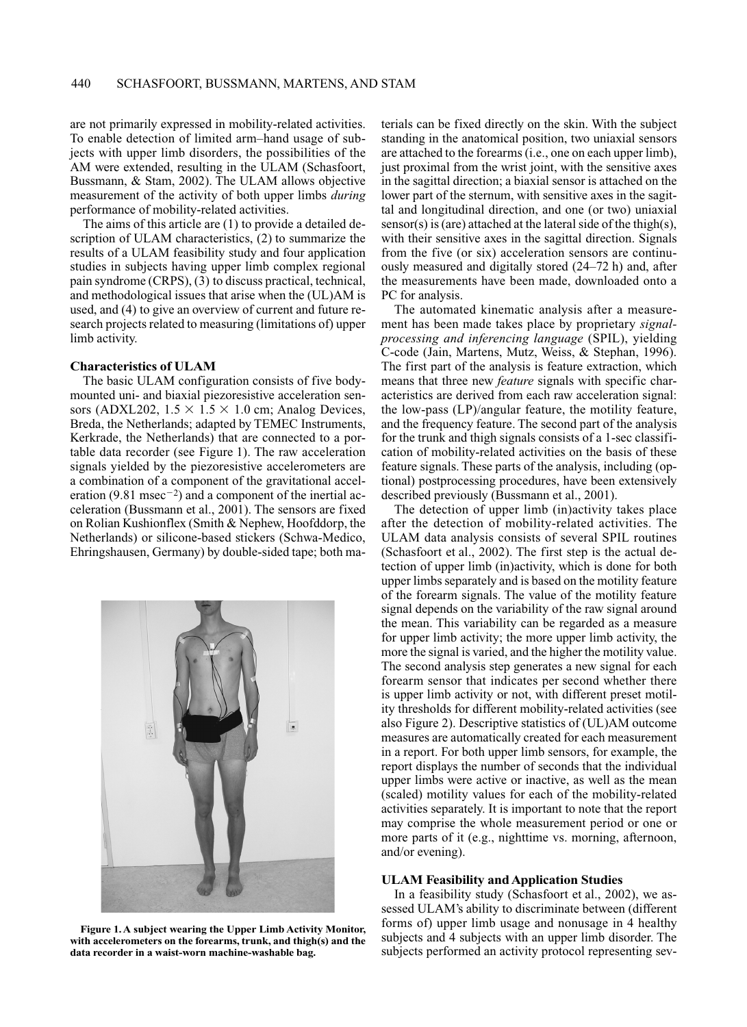are not primarily expressed in mobility-related activities. To enable detection of limited arm–hand usage of subjects with upper limb disorders, the possibilities of the AM were extended, resulting in the ULAM (Schasfoort, Bussmann, & Stam, 2002). The ULAM allows objective measurement of the activity of both upper limbs during performance of mobility-related activities.

The aims of this article are (1) to provide a detailed description of ULAM characteristics, (2) to summarize the results of a ULAM feasibility study and four application studies in subjects having upper limb complex regional pain syndrome (CRPS), (3) to discuss practical, technical, and methodological issues that arise when the (UL)AM is used, and (4) to give an overview of current and future research projects related to measuring (limitations of) upper limb activity.

#### **Characteristics of ULAM**

The basic ULAM configuration consists of five bodymounted uni- and biaxial piezoresistive acceleration sensors (ADXL202,  $1.5 \times 1.5 \times 1.0$  cm; Analog Devices, Breda, the Netherlands; adapted by TEMEC Instruments, Kerkrade, the Netherlands) that are connected to a portable data recorder (see Figure 1). The raw acceleration signals yielded by the piezoresistive accelerometers are a combination of a component of the gravitational acceleration  $(9.81 \text{ msec}^{-2})$  and a component of the inertial acceleration (Bussmann et al., 2001). The sensors are fixed on Rolian Kushionflex (Smith & Nephew, Hoofddorp, the Netherlands) or silicone-based stickers (Schwa-Medico, Ehringshausen, Germany) by double-sided tape; both ma-



Figure 1. A subject wearing the Upper Limb Activity Monitor, with accelerometers on the forearms, trunk, and thigh(s) and the data recorder in a waist-worn machine-washable bag.

terials can be fixed directly on the skin. With the subject standing in the anatomical position, two uniaxial sensors are attached to the forearms (*i.e.*, one on each upper limb). just proximal from the wrist joint, with the sensitive axes in the sagittal direction; a biaxial sensor is attached on the lower part of the sternum, with sensitive axes in the sagittal and longitudinal direction, and one (or two) uniaxial sensor(s) is (are) attached at the lateral side of the thigh(s), with their sensitive axes in the sagittal direction. Signals from the five (or six) acceleration sensors are continuously measured and digitally stored (24–72 h) and, after the measurements have been made, downloaded onto a PC for analysis.

The automated kinematic analysis after a measurement has been made takes place by proprietary signalprocessing and inferencing language (SPIL), yielding C-code (Jain, Martens, Mutz, Weiss, & Stephan, 1996). The first part of the analysis is feature extraction, which means that three new *feature* signals with specific characteristics are derived from each raw acceleration signal: the low-pass (LP)/angular feature, the motility feature, and the frequency feature. The second part of the analysis for the trunk and thigh signals consists of a 1-sec classification of mobility-related activities on the basis of these feature signals. These parts of the analysis, including (optional) postprocessing procedures, have been extensively described previously (Bussmann et al., 2001).

The detection of upper limb (in)activity takes place after the detection of mobility-related activities. The ULAM data analysis consists of several SPIL routines (Schasfoort et al., 2002). The first step is the actual detection of upper limb (in)activity, which is done for both upper limbs separately and is based on the motility feature of the forearm signals. The value of the motility feature signal depends on the variability of the raw signal around the mean. This variability can be regarded as a measure for upper limb activity; the more upper limb activity, the more the signal is varied, and the higher the motility value. The second analysis step generates a new signal for each forearm sensor that indicates per second whether there is upper limb activity or not, with different preset motility thresholds for different mobility-related activities (see also Figure 2). Descriptive statistics of (UL)AM outcome measures are automatically created for each measurement in a report. For both upper limb sensors, for example, the report displays the number of seconds that the individual upper limbs were active or inactive, as well as the mean (scaled) motility values for each of the mobility-related activities separately. It is important to note that the report may comprise the whole measurement period or one or more parts of it (e.g., nighttime vs. morning, afternoon, and/or evening).

#### **ULAM Feasibility and Application Studies**

In a feasibility study (Schasfoort et al., 2002), we assessed ULAM's ability to discriminate between (different forms of) upper limb usage and nonusage in 4 healthy subjects and 4 subjects with an upper limb disorder. The subjects performed an activity protocol representing sev-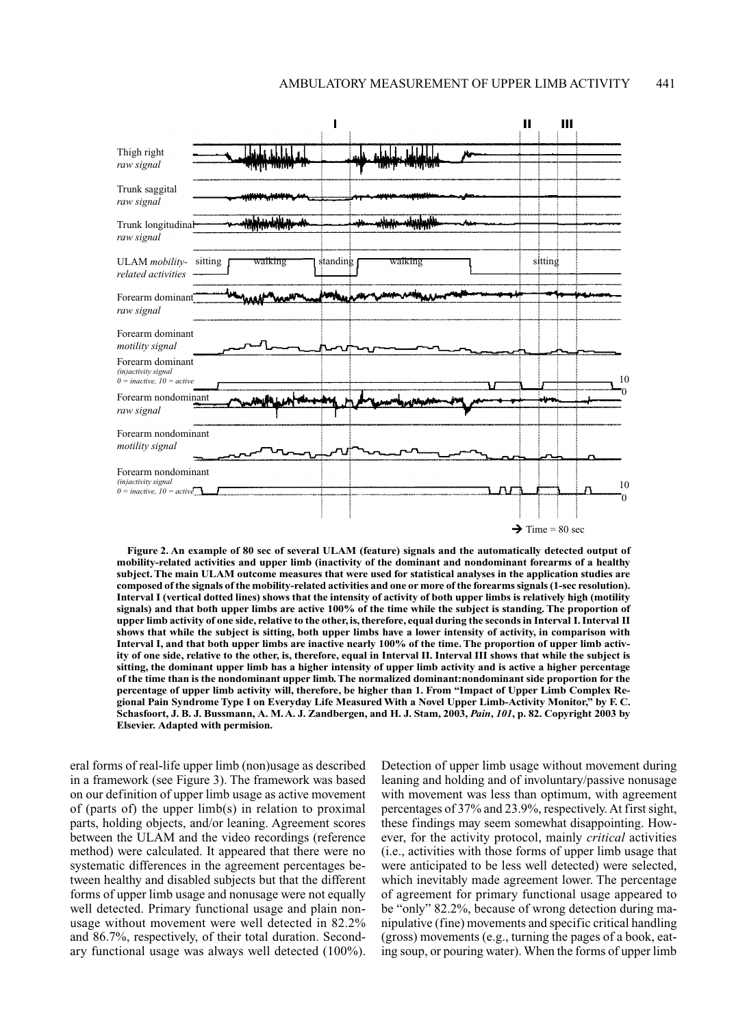

Figure 2. An example of 80 sec of several ULAM (feature) signals and the automatically detected output of mobility-related activities and upper limb (inactivity of the dominant and nondominant forearms of a healthy subject. The main ULAM outcome measures that were used for statistical analyses in the application studies are composed of the signals of the mobility-related activities and one or more of the forearms signals (1-sec resolution). Interval I (vertical dotted lines) shows that the intensity of activity of both upper limbs is relatively high (motility signals) and that both upper limbs are active 100% of the time while the subject is standing. The proportion of upper limb activity of one side, relative to the other, is, therefore, equal during the seconds in Interval I. Interval II shows that while the subject is sitting, both upper limbs have a lower intensity of activity, in comparison with Interval I, and that both upper limbs are inactive nearly 100% of the time. The proportion of upper limb activity of one side, relative to the other, is, therefore, equal in Interval II. Interval III shows that while the subject is sitting, the dominant upper limb has a higher intensity of upper limb activity and is active a higher percentage of the time than is the nondominant upper limb. The normalized dominant: nondominant side proportion for the percentage of upper limb activity will, therefore, be higher than 1. From "Impact of Upper Limb Complex Regional Pain Syndrome Type I on Everyday Life Measured With a Novel Upper Limb-Activity Monitor," by F.C. Schasfoort, J. B. J. Bussmann, A. M. A. J. Zandbergen, and H. J. Stam, 2003, Pain, 101, p. 82. Copyright 2003 by Elsevier. Adapted with permision.

eral forms of real-life upper limb (non)usage as described in a framework (see Figure 3). The framework was based on our definition of upper limb usage as active movement of (parts of) the upper  $limb(s)$  in relation to proximal parts, holding objects, and/or leaning. Agreement scores between the ULAM and the video recordings (reference method) were calculated. It appeared that there were no systematic differences in the agreement percentages between healthy and disabled subjects but that the different forms of upper limb usage and nonusage were not equally well detected. Primary functional usage and plain nonusage without movement were well detected in 82.2% and 86.7%, respectively, of their total duration. Secondary functional usage was always well detected (100%).

Detection of upper limb usage without movement during leaning and holding and of involuntary/passive nonusage with movement was less than optimum, with agreement percentages of 37% and 23.9%, respectively. At first sight, these findings may seem somewhat disappointing. However, for the activity protocol, mainly *critical* activities (*i.e.*, activities with those forms of upper limb usage that were anticipated to be less well detected) were selected, which inevitably made agreement lower. The percentage of agreement for primary functional usage appeared to be "only" 82.2%, because of wrong detection during manipulative (fine) movements and specific critical handling (gross) movements (e.g., turning the pages of a book, eating soup, or pouring water). When the forms of upper limb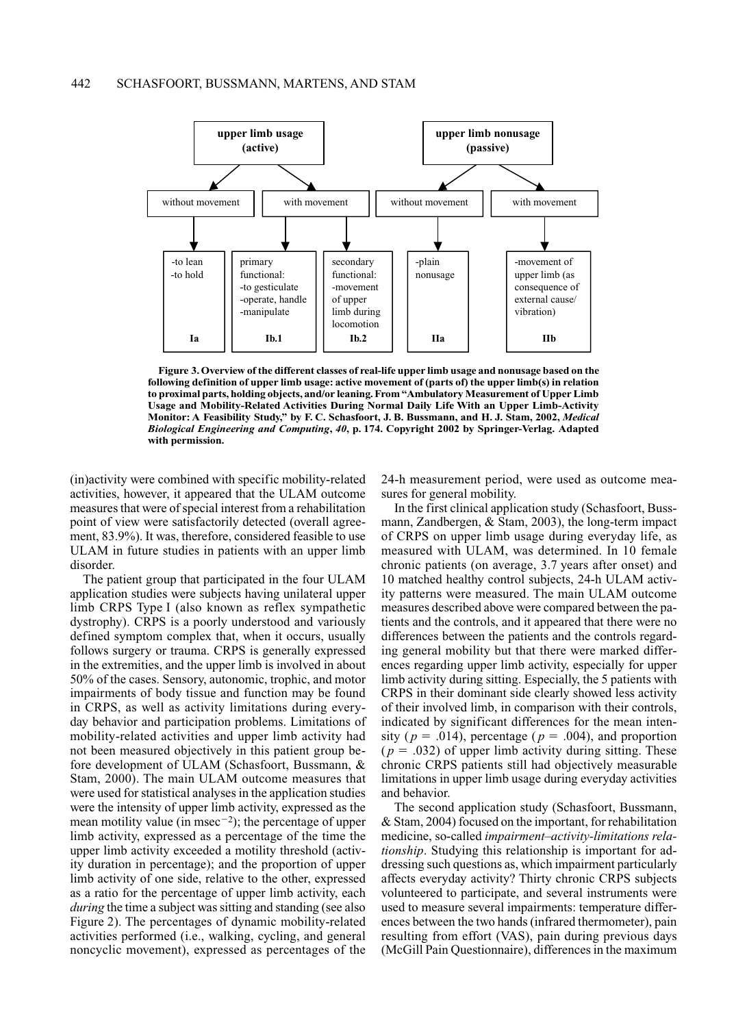

Figure 3. Overview of the different classes of real-life upper limb usage and nonusage based on the following definition of upper limb usage: active movement of (parts of) the upper limb(s) in relation to proximal parts, holding objects, and/or leaning. From "Ambulatory Measurement of Upper Limb Usage and Mobility-Related Activities During Normal Daily Life With an Upper Limb-Activity Monitor: A Feasibility Study," by F. C. Schasfoort, J. B. Bussmann, and H. J. Stam, 2002, Medical Biological Engineering and Computing, 40, p. 174. Copyright 2002 by Springer-Verlag. Adapted with permission.

(in)activity were combined with specific mobility-related activities, however, it appeared that the ULAM outcome measures that were of special interest from a rehabilitation point of view were satisfactorily detected (overall agreement, 83.9%). It was, therefore, considered feasible to use ULAM in future studies in patients with an upper limb disorder.

The patient group that participated in the four ULAM application studies were subjects having unilateral upper limb CRPS Type I (also known as reflex sympathetic dystrophy). CRPS is a poorly understood and variously defined symptom complex that, when it occurs, usually follows surgery or trauma. CRPS is generally expressed in the extremities, and the upper limb is involved in about 50% of the cases. Sensory, autonomic, trophic, and motor impairments of body tissue and function may be found in CRPS, as well as activity limitations during everyday behavior and participation problems. Limitations of mobility-related activities and upper limb activity had not been measured objectively in this patient group before development of ULAM (Schasfoort, Bussmann, & Stam, 2000). The main ULAM outcome measures that were used for statistical analyses in the application studies were the intensity of upper limb activity, expressed as the mean motility value (in msec<sup> $-2$ </sup>); the percentage of upper limb activity, expressed as a percentage of the time the upper limb activity exceeded a motility threshold (activity duration in percentage); and the proportion of upper limb activity of one side, relative to the other, expressed as a ratio for the percentage of upper limb activity, each *during* the time a subject was sitting and standing (see also Figure 2). The percentages of dynamic mobility-related activities performed (i.e., walking, cycling, and general noncyclic movement), expressed as percentages of the 24-h measurement period, were used as outcome measures for general mobility.

In the first clinical application study (Schasfoort, Bussmann, Zandbergen, & Stam, 2003), the long-term impact of CRPS on upper limb usage during everyday life, as measured with ULAM, was determined. In 10 female chronic patients (on average, 3.7 years after onset) and 10 matched healthy control subjects, 24-h ULAM activity patterns were measured. The main ULAM outcome measures described above were compared between the patients and the controls, and it appeared that there were no differences between the patients and the controls regarding general mobility but that there were marked differences regarding upper limb activity, especially for upper limb activity during sitting. Especially, the 5 patients with CRPS in their dominant side clearly showed less activity of their involved limb, in comparison with their controls, indicated by significant differences for the mean intensity ( $p = .014$ ), percentage ( $p = .004$ ), and proportion  $(p = .032)$  of upper limb activity during sitting. These chronic CRPS patients still had objectively measurable limitations in upper limb usage during everyday activities and behavior.

The second application study (Schasfoort, Bussmann, & Stam, 2004) focused on the important, for rehabilitation medicine, so-called *impairment-activity-limitations relationship*. Studying this relationship is important for addressing such questions as, which impairment particularly affects everyday activity? Thirty chronic CRPS subjects volunteered to participate, and several instruments were used to measure several impairments: temperature differences between the two hands (infrared thermometer), pain resulting from effort (VAS), pain during previous days (McGill Pain Ouestionnaire), differences in the maximum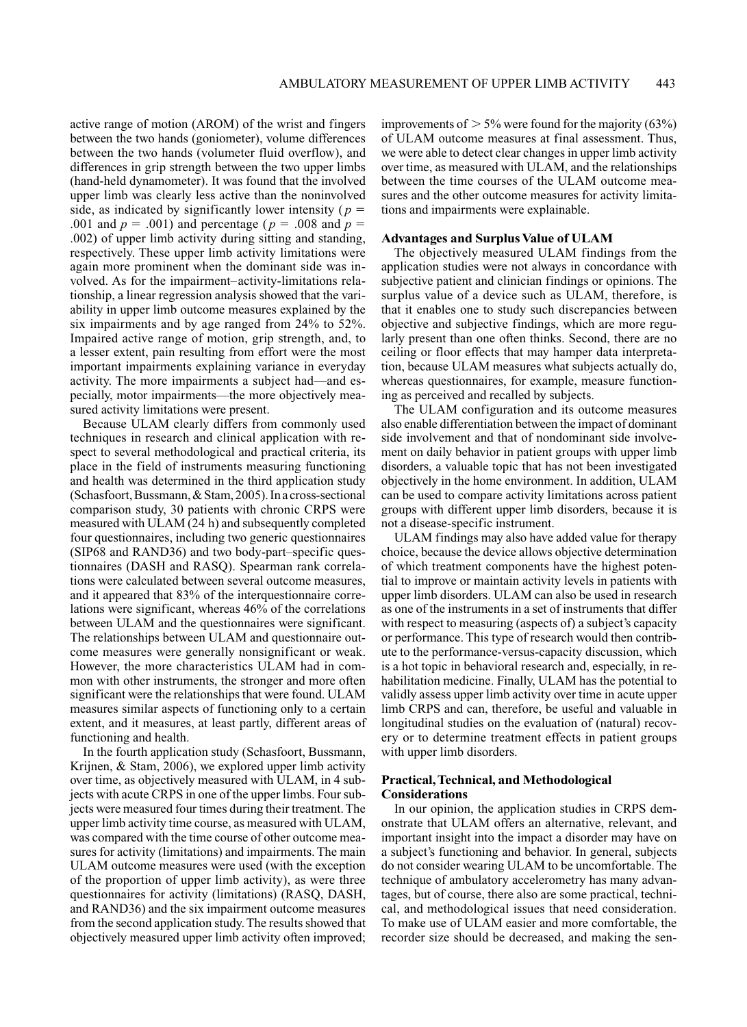active range of motion (AROM) of the wrist and fingers between the two hands (goniometer), volume differences between the two hands (volumeter fluid overflow), and differences in grip strength between the two upper limbs (hand-held dynamometer). It was found that the involved upper limb was clearly less active than the noninvolved side, as indicated by significantly lower intensity ( $p =$ .001 and  $p = .001$  and percentage ( $p = .008$  and  $p =$ .002) of upper limb activity during sitting and standing, respectively. These upper limb activity limitations were again more prominent when the dominant side was involved. As for the impairment-activity-limitations relationship, a linear regression analysis showed that the variability in upper limb outcome measures explained by the six impairments and by age ranged from 24% to 52%. Impaired active range of motion, grip strength, and, to a lesser extent, pain resulting from effort were the most important impairments explaining variance in everyday activity. The more impairments a subject had—and especially, motor impairments—the more objectively measured activity limitations were present.

Because ULAM clearly differs from commonly used techniques in research and clinical application with respect to several methodological and practical criteria, its place in the field of instruments measuring functioning and health was determined in the third application study (Schasfoort, Bussmann, & Stam, 2005). In a cross-sectional comparison study, 30 patients with chronic CRPS were measured with ULAM (24 h) and subsequently completed four questionnaires, including two generic questionnaires (SIP68 and RAND36) and two body-part-specific questionnaires (DASH and RASO). Spearman rank correlations were calculated between several outcome measures, and it appeared that 83% of the interquestion aire correlations were significant, whereas 46% of the correlations between ULAM and the questionnaires were significant. The relationships between ULAM and questionnaire outcome measures were generally nonsignificant or weak. However, the more characteristics ULAM had in common with other instruments, the stronger and more often significant were the relationships that were found. ULAM measures similar aspects of functioning only to a certain extent, and it measures, at least partly, different areas of functioning and health.

In the fourth application study (Schasfoort, Bussmann, Krijnen, & Stam, 2006), we explored upper limb activity over time, as objectively measured with ULAM, in 4 subjects with acute CRPS in one of the upper limbs. Four subjects were measured four times during their treatment. The upper limb activity time course, as measured with ULAM, was compared with the time course of other outcome measures for activity (limitations) and impairments. The main ULAM outcome measures were used (with the exception of the proportion of upper limb activity), as were three questionnaires for activity (limitations) (RASQ, DASH, and RAND36) and the six impairment outcome measures from the second application study. The results showed that objectively measured upper limb activity often improved;

improvements of  $> 5\%$  were found for the majority (63%) of ULAM outcome measures at final assessment. Thus, we were able to detect clear changes in upper limb activity over time, as measured with ULAM, and the relationships between the time courses of the ULAM outcome measures and the other outcome measures for activity limitations and impairments were explainable.

## **Advantages and Surplus Value of ULAM**

The objectively measured ULAM findings from the application studies were not always in concordance with subjective patient and clinician findings or opinions. The surplus value of a device such as ULAM, therefore, is that it enables one to study such discrepancies between objective and subjective findings, which are more regularly present than one often thinks. Second, there are no ceiling or floor effects that may hamper data interpretation, because ULAM measures what subjects actually do, whereas questionnaires, for example, measure functioning as perceived and recalled by subjects.

The ULAM configuration and its outcome measures also enable differentiation between the impact of dominant side involvement and that of nondominant side involvement on daily behavior in patient groups with upper limb disorders, a valuable topic that has not been investigated objectively in the home environment. In addition, ULAM can be used to compare activity limitations across patient groups with different upper limb disorders, because it is not a disease-specific instrument.

ULAM findings may also have added value for therapy choice, because the device allows objective determination of which treatment components have the highest potential to improve or maintain activity levels in patients with upper limb disorders. ULAM can also be used in research as one of the instruments in a set of instruments that differ with respect to measuring (aspects of) a subject's capacity or performance. This type of research would then contribute to the performance-versus-capacity discussion, which is a hot topic in behavioral research and, especially, in rehabilitation medicine. Finally, ULAM has the potential to validly assess upper limb activity over time in acute upper limb CRPS and can, therefore, be useful and valuable in longitudinal studies on the evaluation of (natural) recovery or to determine treatment effects in patient groups with upper limb disorders.

## Practical, Technical, and Methodological **Considerations**

In our opinion, the application studies in CRPS demonstrate that ULAM offers an alternative, relevant, and important insight into the impact a disorder may have on a subject's functioning and behavior. In general, subjects do not consider wearing ULAM to be uncomfortable. The technique of ambulatory accelerometry has many advantages, but of course, there also are some practical, technical, and methodological issues that need consideration. To make use of ULAM easier and more comfortable, the recorder size should be decreased, and making the sen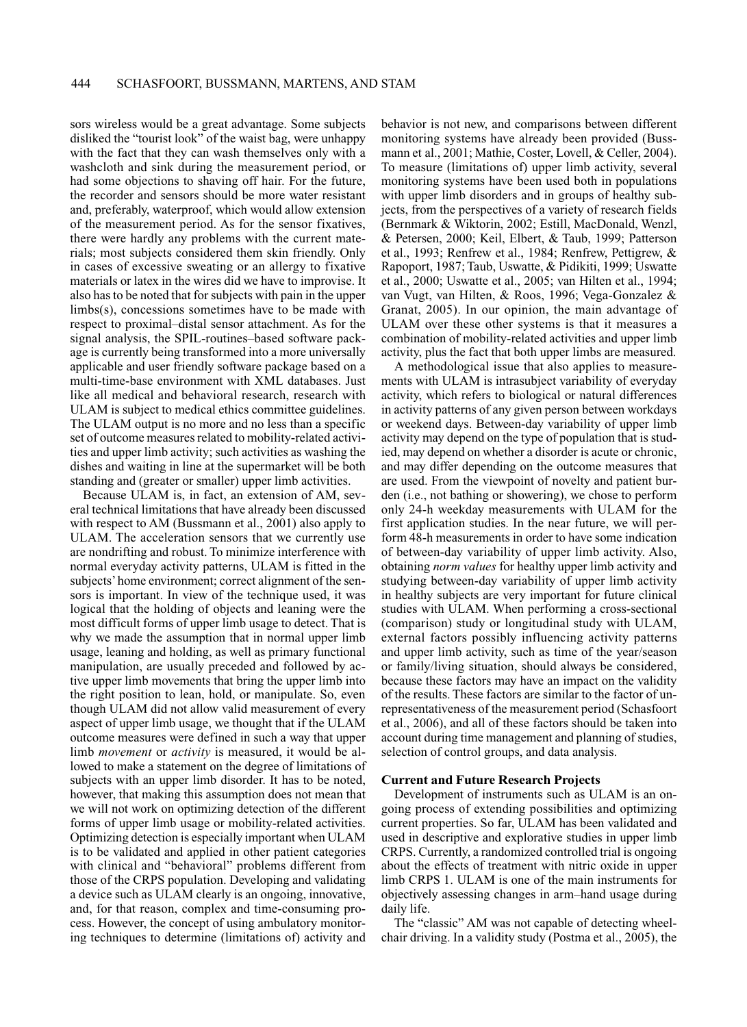sors wireless would be a great advantage. Some subjects disliked the "tourist look" of the waist bag, were unhappy with the fact that they can wash themselves only with a washcloth and sink during the measurement period, or had some objections to shaving off hair. For the future, the recorder and sensors should be more water resistant and, preferably, waterproof, which would allow extension of the measurement period. As for the sensor fixatives, there were hardly any problems with the current materials: most subjects considered them skin friendly. Only in cases of excessive sweating or an allergy to fixative materials or latex in the wires did we have to improvise. It also has to be noted that for subjects with pain in the upper  $limbs(s)$ , concessions sometimes have to be made with respect to proximal-distal sensor attachment. As for the signal analysis, the SPIL-routines-based software package is currently being transformed into a more universally applicable and user friendly software package based on a multi-time-base environment with XML databases. Just like all medical and behavioral research, research with ULAM is subject to medical ethics committee guidelines. The ULAM output is no more and no less than a specific set of outcome measures related to mobility-related activities and upper limb activity; such activities as washing the dishes and waiting in line at the supermarket will be both standing and (greater or smaller) upper limb activities.

Because ULAM is, in fact, an extension of AM, several technical limitations that have already been discussed with respect to AM (Bussmann et al., 2001) also apply to ULAM. The acceleration sensors that we currently use are nondrifting and robust. To minimize interference with normal everyday activity patterns, ULAM is fitted in the subjects' home environment; correct alignment of the sensors is important. In view of the technique used, it was logical that the holding of objects and leaning were the most difficult forms of upper limb usage to detect. That is why we made the assumption that in normal upper limb usage, leaning and holding, as well as primary functional manipulation, are usually preceded and followed by active upper limb movements that bring the upper limb into the right position to lean, hold, or manipulate. So, even though ULAM did not allow valid measurement of every aspect of upper limb usage, we thought that if the ULAM outcome measures were defined in such a way that upper limb *movement* or *activity* is measured, it would be allowed to make a statement on the degree of limitations of subjects with an upper limb disorder. It has to be noted, however, that making this assumption does not mean that we will not work on optimizing detection of the different forms of upper limb usage or mobility-related activities. Optimizing detection is especially important when ULAM is to be validated and applied in other patient categories with clinical and "behavioral" problems different from those of the CRPS population. Developing and validating a device such as ULAM clearly is an ongoing, innovative, and, for that reason, complex and time-consuming process. However, the concept of using ambulatory monitoring techniques to determine (limitations of) activity and

behavior is not new, and comparisons between different monitoring systems have already been provided (Bussmann et al., 2001; Mathie, Coster, Lovell, & Celler, 2004). To measure (limitations of) upper limb activity, several monitoring systems have been used both in populations with upper limb disorders and in groups of healthy subjects, from the perspectives of a variety of research fields (Bernmark & Wiktorin, 2002; Estill, MacDonald, Wenzl, & Petersen, 2000; Keil, Elbert, & Taub, 1999; Patterson et al., 1993; Renfrew et al., 1984; Renfrew, Pettigrew, & Rapoport, 1987; Taub, Uswatte, & Pidikiti, 1999; Uswatte et al., 2000; Uswatte et al., 2005; van Hilten et al., 1994; van Vugt, van Hilten, & Roos, 1996; Vega-Gonzalez & Granat, 2005). In our opinion, the main advantage of ULAM over these other systems is that it measures a combination of mobility-related activities and upper limb activity, plus the fact that both upper limbs are measured.

A methodological issue that also applies to measurements with ULAM is intrasubject variability of everyday activity, which refers to biological or natural differences in activity patterns of any given person between workdays or weekend days. Between-day variability of upper limb activity may depend on the type of population that is studied, may depend on whether a disorder is acute or chronic, and may differ depending on the outcome measures that are used. From the viewpoint of novelty and patient burden (*i.e.*, not bathing or showering), we chose to perform only 24-h weekday measurements with ULAM for the first application studies. In the near future, we will perform 48-h measurements in order to have some indication of between-day variability of upper limb activity. Also, obtaining *norm values* for healthy upper limb activity and studying between-day variability of upper limb activity in healthy subjects are very important for future clinical studies with ULAM. When performing a cross-sectional (comparison) study or longitudinal study with ULAM, external factors possibly influencing activity patterns and upper limb activity, such as time of the year/season or family/living situation, should always be considered, because these factors may have an impact on the validity of the results. These factors are similar to the factor of unrepresentativeness of the measurement period (Schasfoort et al., 2006), and all of these factors should be taken into account during time management and planning of studies, selection of control groups, and data analysis.

#### **Current and Future Research Projects**

Development of instruments such as ULAM is an ongoing process of extending possibilities and optimizing current properties. So far, ULAM has been validated and used in descriptive and explorative studies in upper limb CRPS. Currently, a randomized controlled trial is ongoing about the effects of treatment with nitric oxide in upper limb CRPS 1. ULAM is one of the main instruments for objectively assessing changes in arm–hand usage during daily life.

The "classic" AM was not capable of detecting wheelchair driving. In a validity study (Postma et al., 2005), the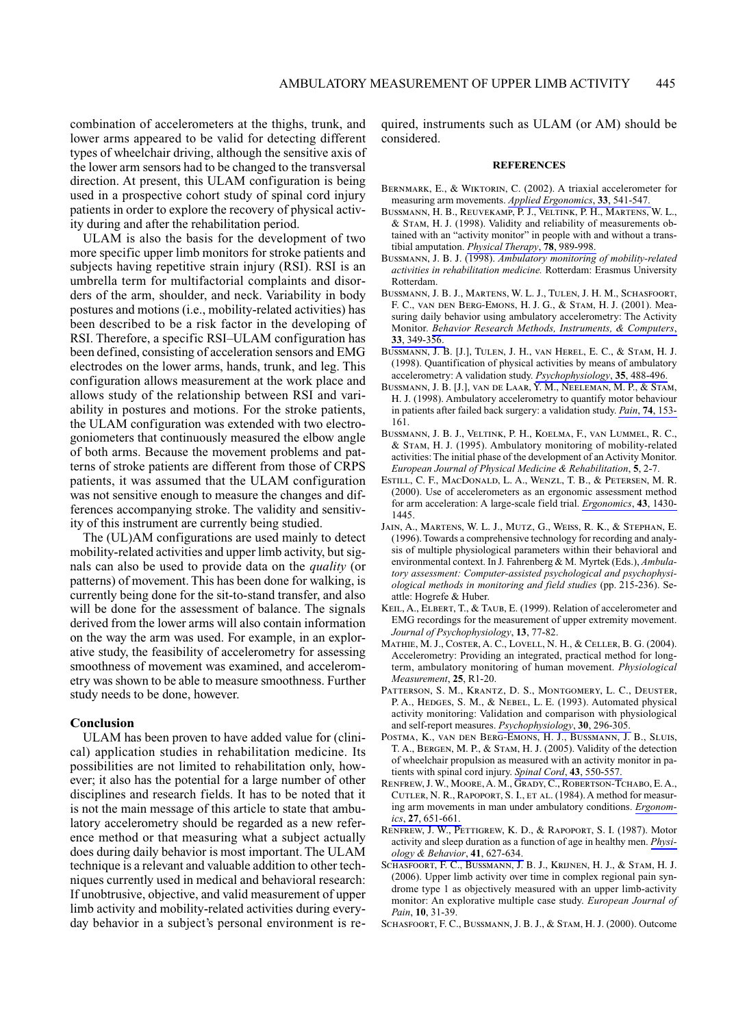combination of accelerometers at the thighs, trunk, and lower arms appeared to be valid for detecting different types of wheelchair driving, although the sensitive axis of the lower arm sensors had to be changed to the transversal direction. At present, this ULAM configuration is being used in a prospective cohort study of spinal cord injury patients in order to explore the recovery of physical activity during and after the rehabilitation period.

ULAM is also the basis for the development of two more specific upper limb monitors for stroke patients and subjects having repetitive strain injury (RSI). RSI is an umbrella term for multifactorial complaints and disorders of the arm, shoulder, and neck. Variability in body postures and motions (i.e., mobility-related activities) has been described to be a risk factor in the developing of RSI. Therefore, a specific RSI-ULAM configuration has been defined, consisting of acceleration sensors and EMG electrodes on the lower arms, hands, trunk, and leg. This configuration allows measurement at the work place and allows study of the relationship between RSI and variability in postures and motions. For the stroke patients, the ULAM configuration was extended with two electrogoniometers that continuously measured the elbow angle of both arms. Because the movement problems and patterns of stroke patients are different from those of CRPS patients, it was assumed that the ULAM configuration was not sensitive enough to measure the changes and differences accompanying stroke. The validity and sensitivity of this instrument are currently being studied.

The (UL)AM configurations are used mainly to detect mobility-related activities and upper limb activity, but signals can also be used to provide data on the *quality* (or patterns) of movement. This has been done for walking, is currently being done for the sit-to-stand transfer, and also will be done for the assessment of balance. The signals derived from the lower arms will also contain information on the way the arm was used. For example, in an explorative study, the feasibility of accelerometry for assessing smoothness of movement was examined, and accelerometry was shown to be able to measure smoothness. Further study needs to be done, however.

## Conclusion

ULAM has been proven to have added value for (clinical) application studies in rehabilitation medicine. Its possibilities are not limited to rehabilitation only, however; it also has the potential for a large number of other disciplines and research fields. It has to be noted that it is not the main message of this article to state that ambulatory accelerometry should be regarded as a new reference method or that measuring what a subject actually does during daily behavior is most important. The ULAM technique is a relevant and valuable addition to other techniques currently used in medical and behavioral research: If unobtrusive, objective, and valid measurement of upper limb activity and mobility-related activities during everyday behavior in a subject's personal environment is required, instruments such as ULAM (or AM) should be considered

#### **REFERENCES**

- BERNMARK, E., & WIKTORIN, C. (2002). A triaxial accelerometer for measuring arm movements. Applied Ergonomics, 33, 541-547.
- BUSSMANN, H. B., REUVEKAMP, P. J., VELTINK, P. H., MARTENS, W. L., & STAM, H. J. (1998). Validity and reliability of measurements obtained with an "activity monitor" in people with and without a transtibial amputation. Physical Therapy, 78, 989-998.
- BUSSMANN, J. B. J. (1998). Ambulatory monitoring of mobility-related activities in rehabilitation medicine. Rotterdam: Erasmus University Rotterdam
- BUSSMANN, J. B. J., MARTENS, W. L. J., TULEN, J. H. M., SCHASFOORT, F. C., VAN DEN BERG-EMONS, H. J. G., & STAM, H. J. (2001). Measuring daily behavior using ambulatory accelerometry: The Activity Monitor. Behavior Research Methods, Instruments, & Computers, 33 349-356
- BUSSMANN, J. B. [J.], TULEN, J. H., VAN HEREL, E. C., & STAM, H. J. (1998). Quantification of physical activities by means of ambulatory accelerometry: A validation study. Psychophysiology, 35, 488-496.
- BUSSMANN, J. B. [J.], VAN DE LAAR, Y. M., NEELEMAN, M. P., & STAM, H. J. (1998). Ambulatory accelerometry to quantify motor behaviour in patients after failed back surgery: a validation study. Pain, 74, 153-161.
- BUSSMANN, J. B. J., VELTINK, P. H., KOELMA, F., VAN LUMMEL, R. C., & STAM, H. J. (1995). Ambulatory monitoring of mobility-related activities: The initial phase of the development of an Activity Monitor. European Journal of Physical Medicine & Rehabilitation, 5, 2-7.
- ESTILL, C. F., MACDONALD, L. A., WENZL, T. B., & PETERSEN, M. R. (2000). Use of accelerometers as an ergonomic assessment method for arm acceleration: A large-scale field trial. Ergonomics, 43, 1430-1445.
- JAIN, A., MARTENS, W. L. J., MUTZ, G., WEISS, R. K., & STEPHAN, E. (1996). Towards a comprehensive technology for recording and analysis of multiple physiological parameters within their behavioral and environmental context. In J. Fahrenberg & M. Myrtek (Eds.), Ambulatory assessment: Computer-assisted psychological and psychophysiological methods in monitoring and field studies (pp. 215-236). Seattle: Hogrefe & Huber.
- KEIL, A., ELBERT, T., & TAUB, E. (1999). Relation of accelerometer and EMG recordings for the measurement of upper extremity movement. Journal of Psychophysiology, 13, 77-82.
- MATHIE, M. J., COSTER, A. C., LOVELL, N. H., & CELLER, B. G. (2004). Accelerometry: Providing an integrated, practical method for longterm, ambulatory monitoring of human movement. Physiological Measurement, 25, R1-20.
- PATTERSON, S. M., KRANTZ, D. S., MONTGOMERY, L. C., DEUSTER, P. A., HEDGES, S. M., & NEBEL, L. E. (1993). Automated physical activity monitoring: Validation and comparison with physiological and self-report measures. Psychophysiology, 30, 296-305.
- POSTMA, K., VAN DEN BERG-EMONS, H. J., BUSSMANN, J. B., SLUIS, T. A., BERGEN, M. P., & STAM, H. J. (2005). Validity of the detection of wheelchair propulsion as measured with an activity monitor in patients with spinal cord injury. Spinal Cord, 43, 550-557.
- RENFREW, J. W., MOORE, A. M., GRADY, C., ROBERTSON-TCHABO, E. A., CUTLER, N. R., RAPOPORT, S. I., ET AL. (1984). A method for measuring arm movements in man under ambulatory conditions. *Ergonom*ics, 27, 651-661.
- RENFREW, J. W., PETTIGREW, K. D., & RAPOPORT, S. I. (1987). Motor activity and sleep duration as a function of age in healthy men. Physiology & Behavior, 41, 627-634.
- SCHASFOORT, F. C., BUSSMANN, J. B. J., KRIJNEN, H. J., & STAM, H. J. (2006). Upper limb activity over time in complex regional pain syndrome type 1 as objectively measured with an upper limb-activity monitor: An explorative multiple case study. European Journal of Pain, 10, 31-39.
- SCHASFOORT, F. C., BUSSMANN, J. B. J., & STAM, H. J. (2000). Outcome